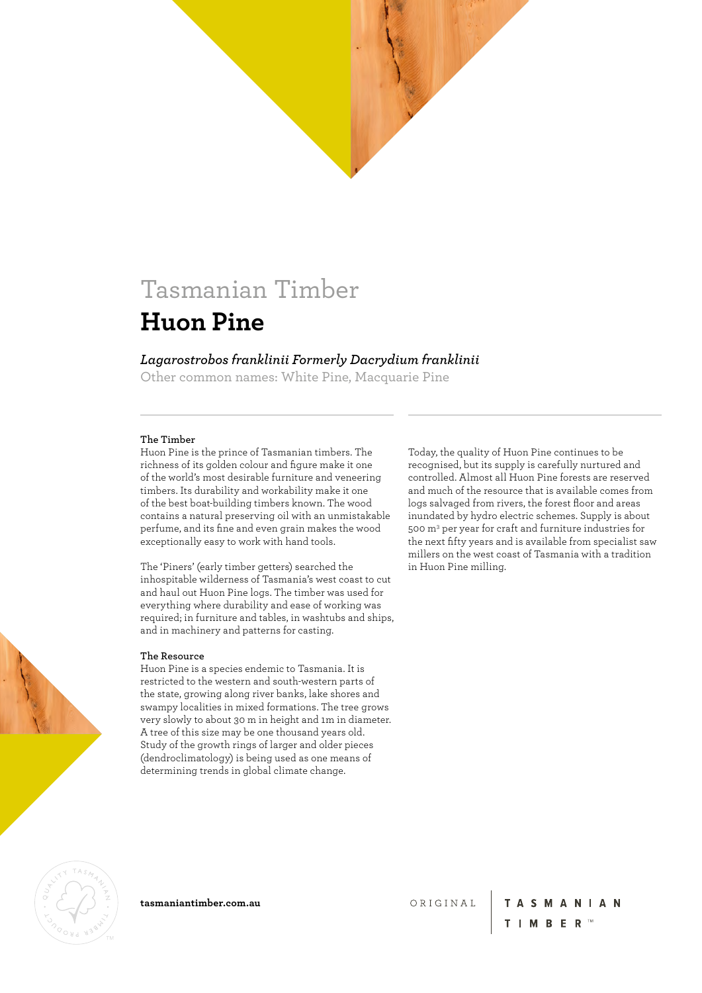### *Lagarostrobos franklinii Formerly Dacrydium franklinii*

Other common names: White Pine, Macquarie Pine

#### **The Timber**

Huon Pine is the prince of Tasmanian timbers. The richness of its golden colour and figure make it one of the world's most desirable furniture and veneering timbers. Its durability and workability make it one of the best boat-building timbers known. The wood contains a natural preserving oil with an unmistakable perfume, and its fine and even grain makes the wood exceptionally easy to work with hand tools.

The 'Piners' (early timber getters) searched the inhospitable wilderness of Tasmania's west coast to cut and haul out Huon Pine logs. The timber was used for everything where durability and ease of working was required; in furniture and tables, in washtubs and ships, and in machinery and patterns for casting.

#### **The Resource**

Huon Pine is a species endemic to Tasmania. It is restricted to the western and south-western parts of the state, growing along river banks, lake shores and swampy localities in mixed formations. The tree grows very slowly to about 30 m in height and 1m in diameter. A tree of this size may be one thousand years old. Study of the growth rings of larger and older pieces (dendroclimatology) is being used as one means of determining trends in global climate change.

Today, the quality of Huon Pine continues to be recognised, but its supply is carefully nurtured and controlled. Almost all Huon Pine forests are reserved and much of the resource that is available comes from logs salvaged from rivers, the forest floor and areas inundated by hydro electric schemes. Supply is about 500 m3 per year for craft and furniture industries for the next fifty years and is available from specialist saw millers on the west coast of Tasmania with a tradition in Huon Pine milling.



**tasmaniantimber.com.au**

ORIGINAL

**TASMANIAN**  $T$  | M B E R  $^{T M}$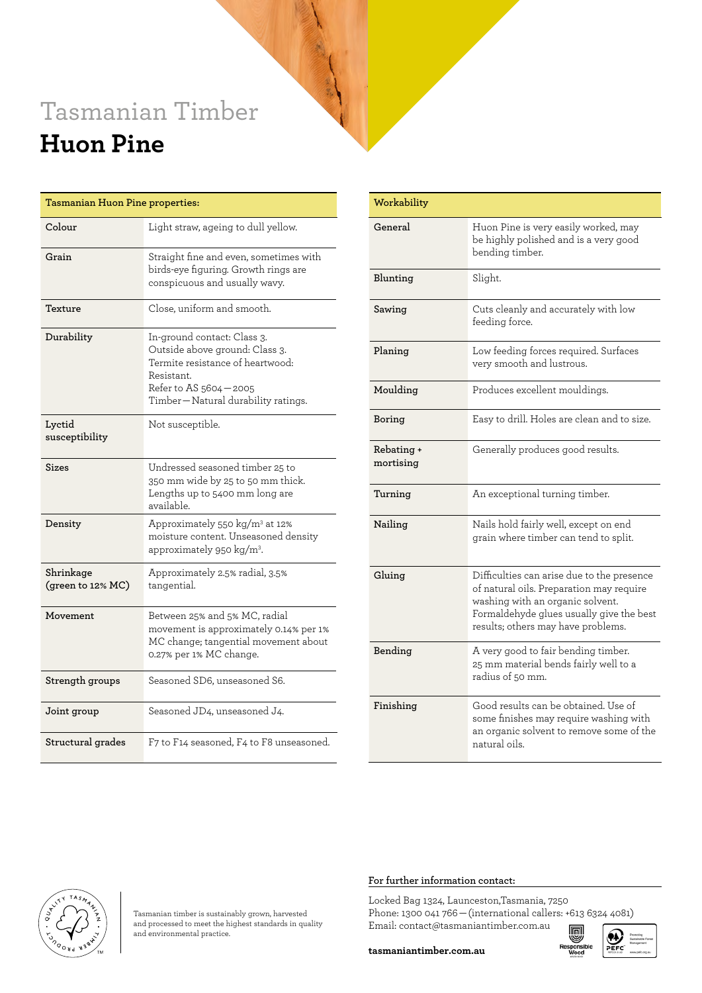| <b>Tasmanian Huon Pine properties:</b> |                                                                                                                                                                                |  |  |  |
|----------------------------------------|--------------------------------------------------------------------------------------------------------------------------------------------------------------------------------|--|--|--|
| Colour                                 | Light straw, ageing to dull yellow.                                                                                                                                            |  |  |  |
| Grain                                  | Straight fine and even, sometimes with<br>birds-eye figuring. Growth rings are<br>conspicuous and usually wavy.                                                                |  |  |  |
| Texture                                | Close, uniform and smooth.                                                                                                                                                     |  |  |  |
| Durability                             | In-ground contact: Class 3.<br>Outside above ground: Class 3.<br>Termite resistance of heartwood:<br>Resistant.<br>Refer to AS 5604-2005<br>Timber-Natural durability ratings. |  |  |  |
| Lyctid<br>susceptibility               | Not susceptible.                                                                                                                                                               |  |  |  |
| Sizes                                  | Undressed seasoned timber 25 to<br>350 mm wide by 25 to 50 mm thick.<br>Lengths up to 5400 mm long are<br>available.                                                           |  |  |  |
| Density                                | Approximately 550 kg/m <sup>3</sup> at 12%<br>moisture content. Unseasoned density<br>approximately 950 kg/m <sup>3</sup> .                                                    |  |  |  |
| Shrinkage<br>(green to 12% MC)         | Approximately 2.5% radial, 3.5%<br>tangential.                                                                                                                                 |  |  |  |
| Movement                               | Between 25% and 5% MC, radial<br>movement is approximately 0.14% per 1%<br>MC change; tangential movement about<br>0.27% per 1% MC change.                                     |  |  |  |
| Strength groups                        | Seasoned SD6, unseasoned S6.                                                                                                                                                   |  |  |  |
| Joint group                            | Seasoned JD4, unseasoned J4.                                                                                                                                                   |  |  |  |
| Structural grades                      | F7 to F14 seasoned, F4 to F8 unseasoned.                                                                                                                                       |  |  |  |

| Workability             |                                                                                                                                                                                                              |  |
|-------------------------|--------------------------------------------------------------------------------------------------------------------------------------------------------------------------------------------------------------|--|
| General                 | Huon Pine is very easily worked, may<br>be highly polished and is a very good<br>bending timber.                                                                                                             |  |
| Blunting                | Slight.                                                                                                                                                                                                      |  |
| Sawing                  | Cuts cleanly and accurately with low<br>feeding force.                                                                                                                                                       |  |
| Planing                 | Low feeding forces required. Surfaces<br>very smooth and lustrous.                                                                                                                                           |  |
| Moulding                | Produces excellent mouldings.                                                                                                                                                                                |  |
| Boring                  | Easy to drill. Holes are clean and to size.                                                                                                                                                                  |  |
| Rebating +<br>mortising | Generally produces good results.                                                                                                                                                                             |  |
| Turning                 | An exceptional turning timber.                                                                                                                                                                               |  |
| Nailing                 | Nails hold fairly well, except on end<br>grain where timber can tend to split.                                                                                                                               |  |
| Gluing                  | Difficulties can arise due to the presence<br>of natural oils. Preparation may require<br>washing with an organic solvent.<br>Formaldehyde glues usually give the best<br>results; others may have problems. |  |
| Bending                 | A very good to fair bending timber.<br>25 mm material bends fairly well to a<br>radius of 50 mm.                                                                                                             |  |
| Finishing               | Good results can be obtained. Use of<br>some finishes may require washing with<br>an organic solvent to remove some of the<br>natural oils.                                                                  |  |

#### **For further information contact:**

Locked Bag 1324, Launceston,Tasmania, 7250 Phone: 1300 041 766 — (international callers: +613 6324 4081) Email: contact@tasmaniantimber.com.au



Tasmanian timber is sustainably grown, harvested and processed to meet the highest standards in quality and environmental practice.

**tasmaniantimber.com.au**

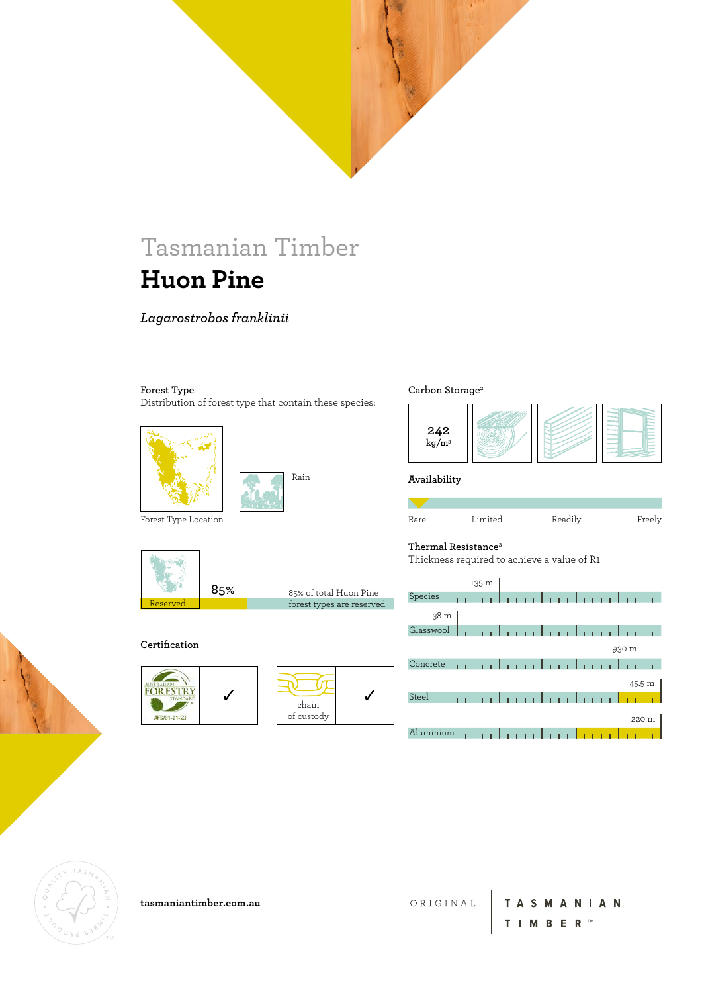### *Lagarostrobos franklinii*

#### **Forest Type**

Distribution of forest type that contain these species:





Forest Type Location

**Certification**

FORESTRY

AFS/01-21-23



./

forest types are reserved

J

chain of custody

#### **Carbon Storage2**



**Availability**

| r<br>-⁄∩ r∩ |  |
|-------------|--|
|             |  |

|  | LHT. |
|--|------|
|  |      |
|  |      |



#### ited Readily Freely



Thickness required to achieve a value of R1







**tasmaniantimber.com.au**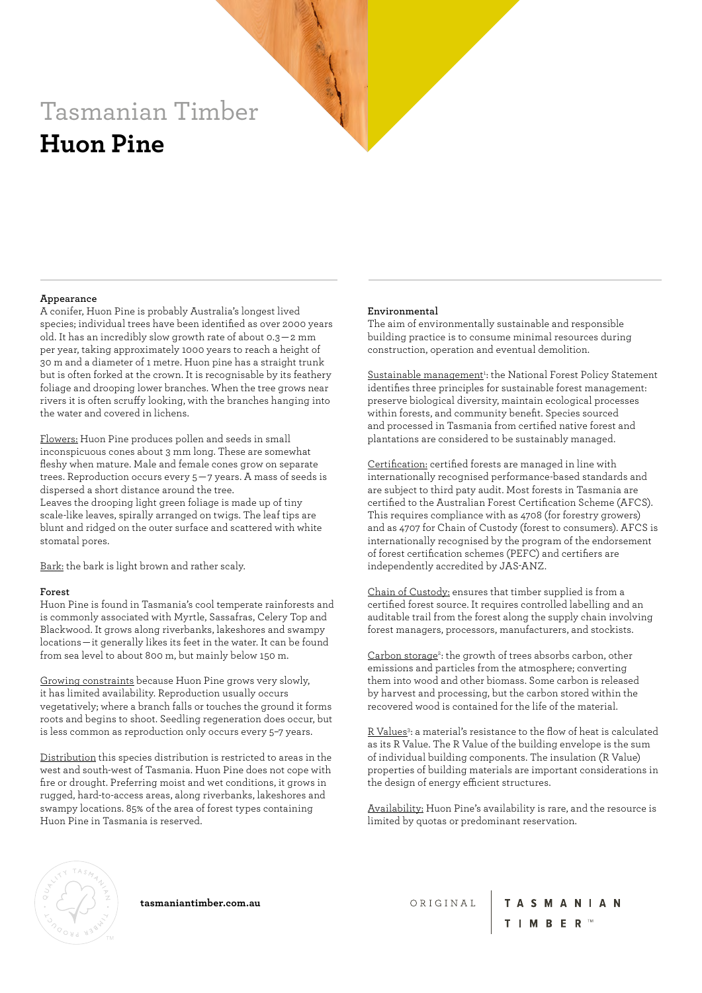#### **Appearance**

A conifer, Huon Pine is probably Australia's longest lived species; individual trees have been identified as over 2000 years old. It has an incredibly slow growth rate of about 0.3 — 2 mm per year, taking approximately 1000 years to reach a height of 30 m and a diameter of 1 metre. Huon pine has a straight trunk but is often forked at the crown. It is recognisable by its feathery foliage and drooping lower branches. When the tree grows near rivers it is often scruffy looking, with the branches hanging into the water and covered in lichens.

Flowers: Huon Pine produces pollen and seeds in small inconspicuous cones about 3 mm long. These are somewhat fleshy when mature. Male and female cones grow on separate trees. Reproduction occurs every 5 — 7 years. A mass of seeds is dispersed a short distance around the tree. Leaves the drooping light green foliage is made up of tiny scale-like leaves, spirally arranged on twigs. The leaf tips are blunt and ridged on the outer surface and scattered with white stomatal pores.

Bark: the bark is light brown and rather scaly.

#### **Forest**

Huon Pine is found in Tasmania's cool temperate rainforests and is commonly associated with Myrtle, Sassafras, Celery Top and Blackwood. It grows along riverbanks, lakeshores and swampy locations — it generally likes its feet in the water. It can be found from sea level to about 800 m, but mainly below 150 m.

Growing constraints because Huon Pine grows very slowly, it has limited availability. Reproduction usually occurs vegetatively; where a branch falls or touches the ground it forms roots and begins to shoot. Seedling regeneration does occur, but is less common as reproduction only occurs every 5–7 years.

Distribution this species distribution is restricted to areas in the west and south-west of Tasmania. Huon Pine does not cope with fire or drought. Preferring moist and wet conditions, it grows in rugged, hard-to-access areas, along riverbanks, lakeshores and swampy locations. 85% of the area of forest types containing Huon Pine in Tasmania is reserved.

#### **Environmental**

The aim of environmentally sustainable and responsible building practice is to consume minimal resources during construction, operation and eventual demolition.

Sustainable management<sup>1</sup>: the National Forest Policy Statement identifies three principles for sustainable forest management: preserve biological diversity, maintain ecological processes within forests, and community benefit. Species sourced and processed in Tasmania from certified native forest and plantations are considered to be sustainably managed.

Certification: certified forests are managed in line with internationally recognised performance-based standards and are subject to third paty audit. Most forests in Tasmania are certified to the Australian Forest Certification Scheme (AFCS). This requires compliance with as 4708 (for forestry growers) and as 4707 for Chain of Custody (forest to consumers). AFCS is internationally recognised by the program of the endorsement of forest certification schemes (PEFC) and certifiers are independently accredited by JAS-ANZ.

Chain of Custody: ensures that timber supplied is from a certified forest source. It requires controlled labelling and an auditable trail from the forest along the supply chain involving forest managers, processors, manufacturers, and stockists.

Carbon storage<sup>2</sup>: the growth of trees absorbs carbon, other emissions and particles from the atmosphere; converting them into wood and other biomass. Some carbon is released by harvest and processing, but the carbon stored within the recovered wood is contained for the life of the material.

R Values<sup>3</sup>: a material's resistance to the flow of heat is calculated as its R Value. The R Value of the building envelope is the sum of individual building components. The insulation (R Value) properties of building materials are important considerations in the design of energy efficient structures.

Availability: Huon Pine's availability is rare, and the resource is limited by quotas or predominant reservation.



**tasmaniantimber.com.au**

ORIGINAL

**TASMANIAN** T **I M B E R** ™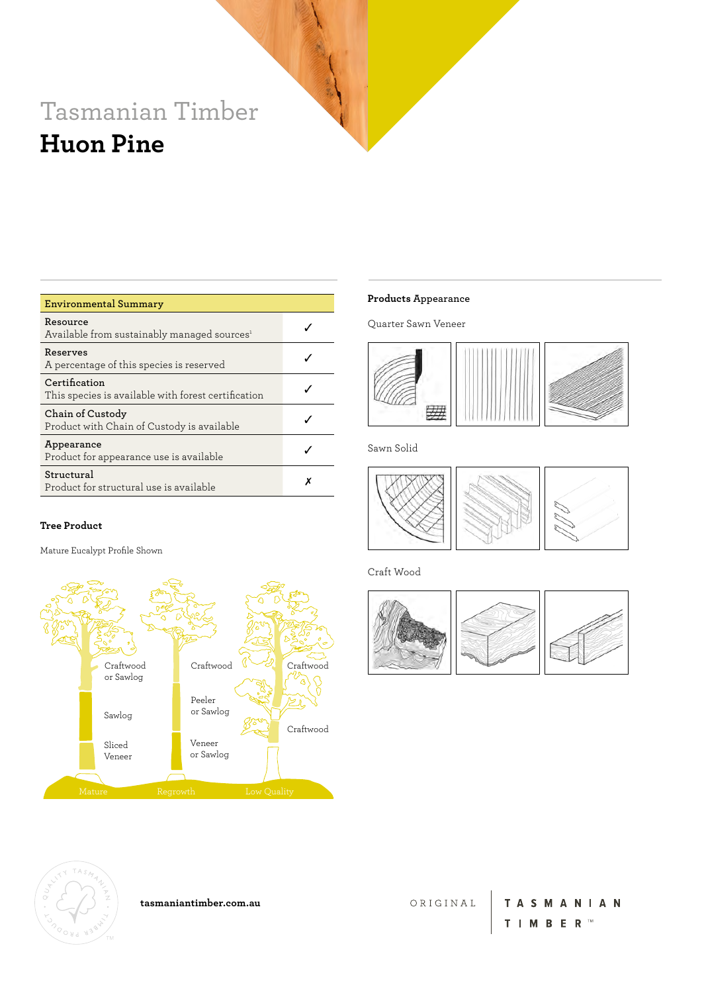| <b>Environmental Summary</b>                                         |  |
|----------------------------------------------------------------------|--|
| Resource<br>Available from sustainably managed sources <sup>1</sup>  |  |
| Reserves<br>A percentage of this species is reserved                 |  |
| Certification<br>This species is available with forest certification |  |
| Chain of Custody<br>Product with Chain of Custody is available       |  |
| Appearance<br>Product for appearance use is available                |  |
| Structural<br>Product for structural use is available                |  |

#### **Tree Product**

Mature Eucalypt Profile Shown



#### **Products Appearance**

Quarter Sawn Veneer



Sawn Solid



Craft Wood





**tasmaniantimber.com.au**

ORIGINAL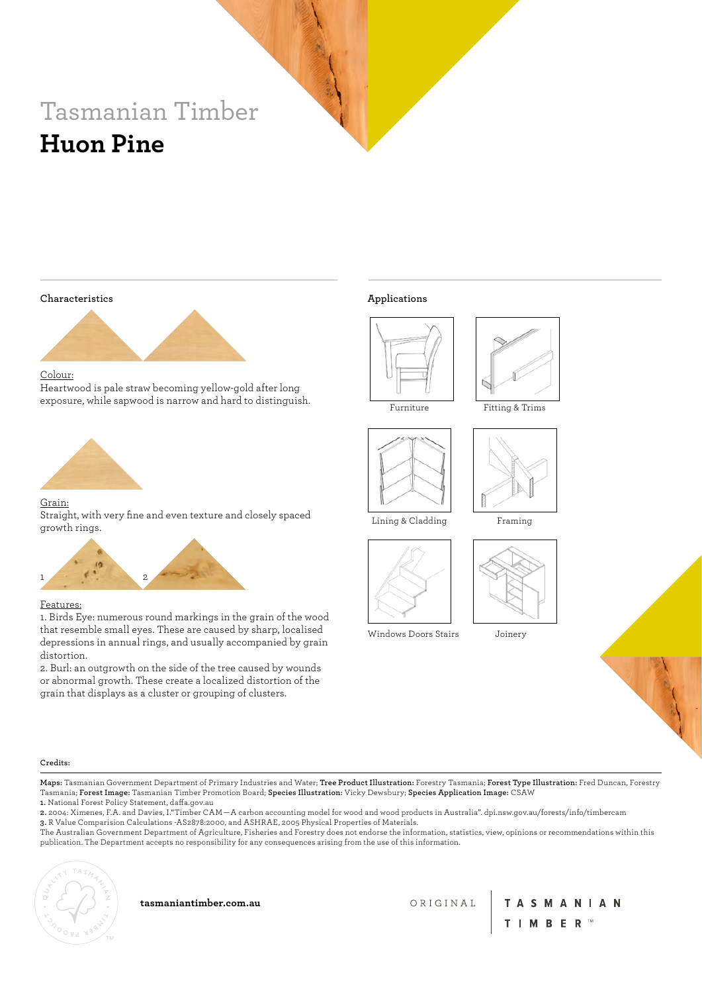**Characteristics**



Colour:

Heartwood is pale straw becoming yellow-gold after long exposure, while sapwood is narrow and hard to distinguish.



#### Grain:

Straight, with very fine and even texture and closely spaced growth rings.



#### Features:

1. Birds Eye: numerous round markings in the grain of the wood that resemble small eyes. These are caused by sharp, localised depressions in annual rings, and usually accompanied by grain distortion.

2. Burl: an outgrowth on the side of the tree caused by wounds or abnormal growth. These create a localized distortion of the grain that displays as a cluster or grouping of clusters.

#### **Applications**











Framing







**Credits:**

**Maps:** Tasmanian Government Department of Primary Industries and Water; **Tree Product Illustration:** Forestry Tasmania; **Forest Type Illustration:** Fred Duncan, Forestry Tasmania; **Forest Image:** Tasmanian Timber Promotion Board; **Species Illustration:** Vicky Dewsbury; **Species Application Image:** CSAW **1.** National Forest Policy Statement, daffa.gov.au

**2.** 2004: Ximenes, F.A. and Davies, I."Timber CAM — A carbon accounting model for wood and wood products in Australia". dpi.nsw.gov.au/forests/info/timbercam **3.** R Value Comparision Calculations -AS2878:2000, and ASHRAE, 2005 Physical Properties of Materials.

The Australian Government Department of Agriculture, Fisheries and Forestry does not endorse the information, statistics, view, opinions or recommendations within this publication. The Department accepts no responsibility for any consequences arising from the use of this information.



**tasmaniantimber.com.au**

ORIGINAL

TASMANIAN T **I M B E R** ™